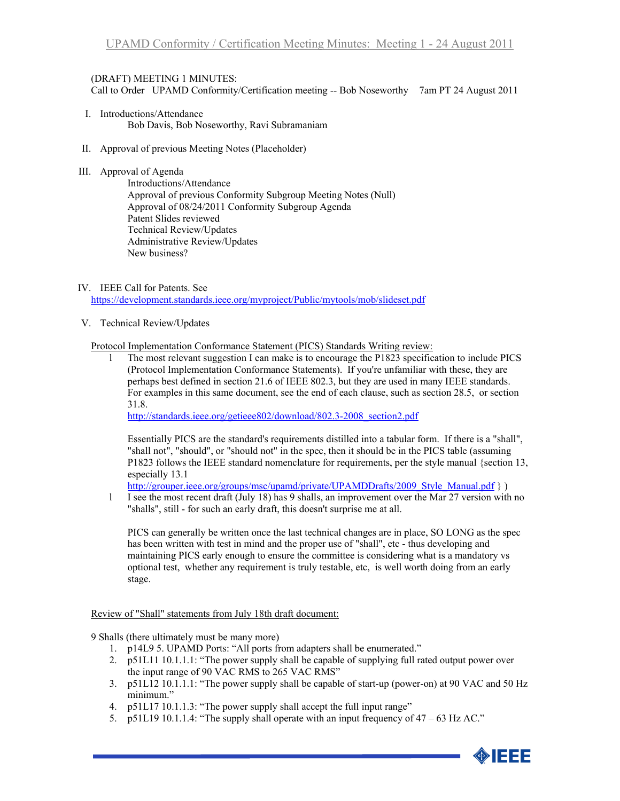## (DRAFT) MEETING 1 MINUTES:

Call to Order UPAMD Conformity/Certification meeting -- Bob Noseworthy 7am PT 24 August 2011

- I. Introductions/Attendance Bob Davis, Bob Noseworthy, Ravi Subramaniam
- II. Approval of previous Meeting Notes (Placeholder)
- III. Approval of Agenda

Introductions/Attendance Approval of previous Conformity Subgroup Meeting Notes (Null) Approval of 08/24/2011 Conformity Subgroup Agenda Patent Slides reviewed Technical Review/Updates Administrative Review/Updates New business?

IV. IEEE Call for Patents. See

<https://development.standards.ieee.org/myproject/Public/mytools/mob/slideset.pdf>

V. Technical Review/Updates

Protocol Implementation Conformance Statement (PICS) Standards Writing review:

l The most relevant suggestion I can make is to encourage the P1823 specification to include PICS (Protocol Implementation Conformance Statements). If you're unfamiliar with these, they are perhaps best defined in section 21.6 of IEEE 802.3, but they are used in many IEEE standards. For examples in this same document, see the end of each clause, such as section 28.5, or section 31.8.

[http://standards.ieee.org/getieee802/download/802.3-2008\\_section2.pdf](http://standards.ieee.org/getieee802/download/802.3-2008_section2.pdf)

Essentially PICS are the standard's requirements distilled into a tabular form. If there is a "shall", "shall not", "should", or "should not" in the spec, then it should be in the PICS table (assuming P1823 follows the IEEE standard nomenclature for requirements, per the style manual {section 13, especially 13.1

http://grouper.ieee.org/groups/msc/upamd/private/UPAMDDrafts/2009 Style Manual.pdf } )

l I see the most recent draft (July 18) has 9 shalls, an improvement over the Mar 27 version with no "shalls", still - for such an early draft, this doesn't surprise me at all.

PICS can generally be written once the last technical changes are in place, SO LONG as the spec has been written with test in mind and the proper use of "shall", etc - thus developing and maintaining PICS early enough to ensure the committee is considering what is a mandatory vs optional test, whether any requirement is truly testable, etc, is well worth doing from an early stage.

## Review of "Shall" statements from July 18th draft document:

9 Shalls (there ultimately must be many more)

- 1. p14L9 5. UPAMD Ports: "All ports from adapters shall be enumerated."
- 2. p51L11 10.1.1.1: "The power supply shall be capable of supplying full rated output power over the input range of 90 VAC RMS to 265 VAC RMS"
- 3. p51L12 10.1.1.1: "The power supply shall be capable of start-up (power-on) at 90 VAC and 50 Hz minimum."
- 4. p51L17 10.1.1.3: "The power supply shall accept the full input range"
- 5. p51L19 10.1.1.4: "The supply shall operate with an input frequency of  $47 63$  Hz AC."

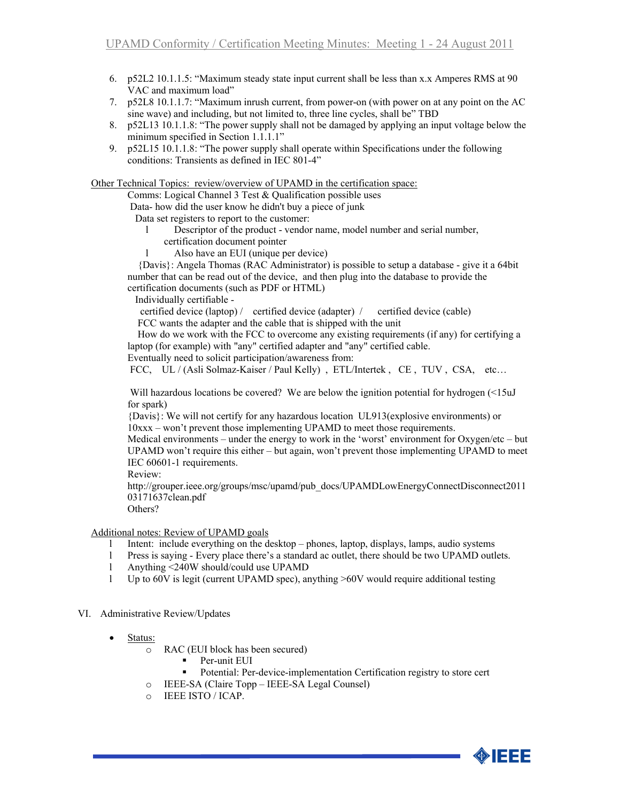- 6. p52L2 10.1.1.5: "Maximum steady state input current shall be less than x.x Amperes RMS at 90 VAC and maximum load"
- 7. p52L8 10.1.1.7: "Maximum inrush current, from power-on (with power on at any point on the AC sine wave) and including, but not limited to, three line cycles, shall be" TBD
- 8. p52L13 10.1.1.8: "The power supply shall not be damaged by applying an input voltage below the minimum specified in Section 1.1.1.1"
- 9. p52L15 10.1.1.8: "The power supply shall operate within Specifications under the following conditions: Transients as defined in IEC 801-4"

Other Technical Topics: review/overview of UPAMD in the certification space:

Comms: Logical Channel 3 Test & Qualification possible uses

Data- how did the user know he didn't buy a piece of junk

Data set registers to report to the customer:

- l Descriptor of the product vendor name, model number and serial number, certification document pointer
- l Also have an EUI (unique per device)

 {Davis}: Angela Thomas (RAC Administrator) is possible to setup a database - give it a 64bit number that can be read out of the device, and then plug into the database to provide the certification documents (such as PDF or HTML)

Individually certifiable -

certified device (laptop) / certified device (adapter) / certified device (cable) FCC wants the adapter and the cable that is shipped with the unit

 How do we work with the FCC to overcome any existing requirements (if any) for certifying a laptop (for example) with "any" certified adapter and "any" certified cable.

Eventually need to solicit participation/awareness from:

FCC, UL / (Asli Solmaz-Kaiser / Paul Kelly), ETL/Intertek, CE, TUV, CSA, etc...

Will hazardous locations be covered? We are below the ignition potential for hydrogen (<15uJ) for spark)

{Davis}: We will not certify for any hazardous location UL913(explosive environments) or 10xxx – won't prevent those implementing UPAMD to meet those requirements.

Medical environments – under the energy to work in the 'worst' environment for Oxygen/etc – but UPAMD won't require this either – but again, won't prevent those implementing UPAMD to meet IEC 60601-1 requirements.

Review:

http://grouper.ieee.org/groups/msc/upamd/pub\_docs/UPAMDLowEnergyConnectDisconnect2011 03171637clean.pdf

Others?

Additional notes: Review of UPAMD goals

- l Intent: include everything on the desktop phones, laptop, displays, lamps, audio systems
- l Press is saying Every place there's a standard ac outlet, there should be two UPAMD outlets.
- l Anything <240W should/could use UPAMD
- l Up to 60V is legit (current UPAMD spec), anything >60V would require additional testing
- VI. Administrative Review/Updates
	- Status:
		- o RAC (EUI block has been secured)
			- Per-unit EUI
				- Potential: Per-device-implementation Certification registry to store cert
		- o IEEE-SA (Claire Topp IEEE-SA Legal Counsel)
		- o IEEE ISTO / ICAP.